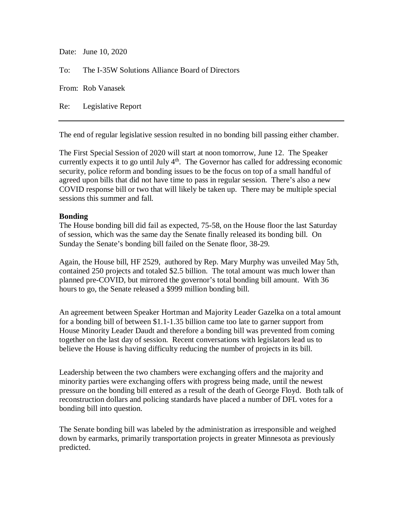| Date: June 10, 2020                                 |
|-----------------------------------------------------|
| To: The I-35W Solutions Alliance Board of Directors |
| From: Rob Vanasek                                   |
| Re: Legislative Report                              |

The end of regular legislative session resulted in no bonding bill passing either chamber.

The First Special Session of 2020 will start at noon tomorrow, June 12. The Speaker currently expects it to go until July  $4<sup>th</sup>$ . The Governor has called for addressing economic security, police reform and bonding issues to be the focus on top of a small handful of agreed upon bills that did not have time to pass in regular session. There's also a new COVID response bill or two that will likely be taken up. There may be multiple special sessions this summer and fall.

## **Bonding**

The House bonding bill did fail as expected, 75-58, on the House floor the last Saturday of session, which was the same day the Senate finally released its bonding bill. On Sunday the Senate's bonding bill failed on the Senate floor, 38-29.

Again, the House bill, HF 2529, authored by Rep. Mary Murphy was unveiled May 5th, contained 250 projects and totaled \$2.5 billion. The total amount was much lower than planned pre-COVID, but mirrored the governor's total bonding bill amount. With 36 hours to go, the Senate released a \$999 million bonding bill.

An agreement between Speaker Hortman and Majority Leader Gazelka on a total amount for a bonding bill of between \$1.1-1.35 billion came too late to garner support from House Minority Leader Daudt and therefore a bonding bill was prevented from coming together on the last day of session. Recent conversations with legislators lead us to believe the House is having difficulty reducing the number of projects in its bill.

Leadership between the two chambers were exchanging offers and the majority and minority parties were exchanging offers with progress being made, until the newest pressure on the bonding bill entered as a result of the death of George Floyd. Both talk of reconstruction dollars and policing standards have placed a number of DFL votes for a bonding bill into question.

The Senate bonding bill was labeled by the administration as irresponsible and weighed down by earmarks, primarily transportation projects in greater Minnesota as previously predicted.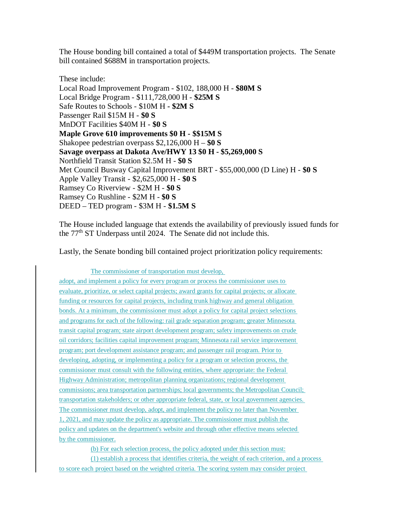The House bonding bill contained a total of \$449M transportation projects. The Senate bill contained \$688M in transportation projects.

These include: Local Road Improvement Program - \$102, 188,000 H - **\$80M S** Local Bridge Program - \$111,728,000 H - **\$25M S** Safe Routes to Schools - \$10M H **- \$2M S** Passenger Rail \$15M H - **\$0 S** MnDOT Facilities \$40M H - **\$0 S Maple Grove 610 improvements \$0 H - \$\$15M S** Shakopee pedestrian overpass \$2,126,000 H – **\$0 S Savage overpass at Dakota Ave/HWY 13 \$0 H - \$5,269,000 S** Northfield Transit Station \$2.5M H - **\$0 S** Met Council Busway Capital Improvement BRT - \$55,000,000 (D Line) H - **\$0 S** Apple Valley Transit - \$2,625,000 H - **\$0 S** Ramsey Co Riverview - \$2M H - **\$0 S** Ramsey Co Rushline - \$2M H - **\$0 S** DEED – TED program - \$3M H - **\$1.5M S**

The House included language that extends the availability of previously issued funds for the 77<sup>th</sup> ST Underpass until 2024. The Senate did not include this.

Lastly, the Senate bonding bill contained project prioritization policy requirements:

The commissioner of transportation must develop, adopt, and implement a policy for every program or process the commissioner uses to evaluate, prioritize, or select capital projects; award grants for capital projects; or allocate funding or resources for capital projects, including trunk highway and general obligation bonds. At a minimum, the commissioner must adopt a policy for capital project selections and programs for each of the following: rail grade separation program; greater Minnesota transit capital program; state airport development program; safety improvements on crude oil corridors; facilities capital improvement program; Minnesota rail service improvement program; port development assistance program; and passenger rail program. Prior to developing, adopting, or implementing a policy for a program or selection process, the commissioner must consult with the following entities, where appropriate: the Federal Highway Administration; metropolitan planning organizations; regional development commissions; area transportation partnerships; local governments; the Metropolitan Council; transportation stakeholders; or other appropriate federal, state, or local government agencies. The commissioner must develop, adopt, and implement the policy no later than November 1, 2021, and may update the policy as appropriate. The commissioner must publish the policy and updates on the department's website and through other effective means selected by the commissioner.

(b) For each selection process, the policy adopted under this section must:

(1) establish a process that identifies criteria, the weight of each criterion, and a process to score each project based on the weighted criteria. The scoring system may consider project